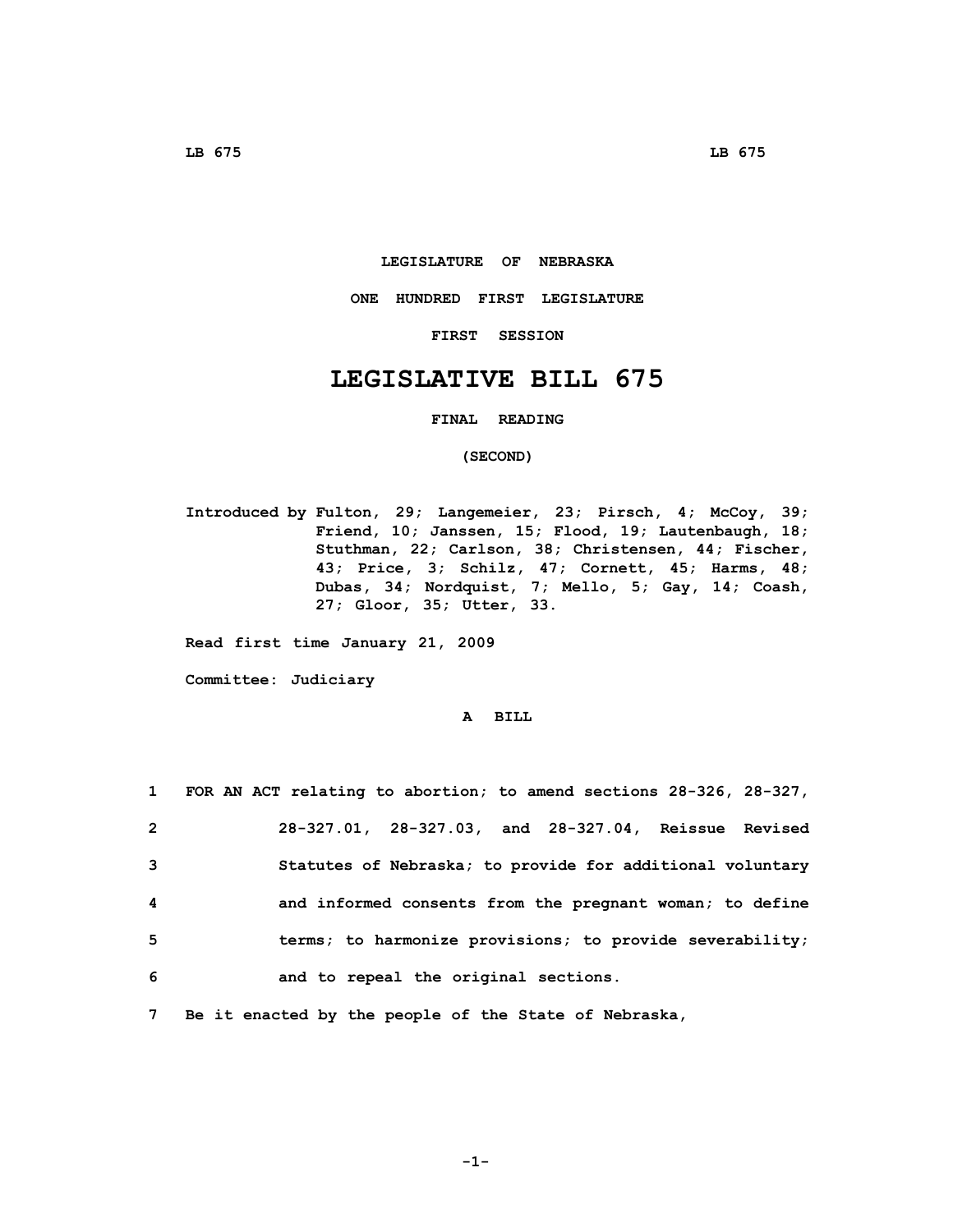### **LEGISLATURE OF NEBRASKA**

**ONE HUNDRED FIRST LEGISLATURE**

**FIRST SESSION**

# **LEGISLATIVE BILL 675**

### **FINAL READING**

## **(SECOND)**

**Introduced by Fulton, 29; Langemeier, 23; Pirsch, 4; McCoy, 39; Friend, 10; Janssen, 15; Flood, 19; Lautenbaugh, 18; Stuthman, 22; Carlson, 38; Christensen, 44; Fischer, 43; Price, 3; Schilz, 47; Cornett, 45; Harms, 48; Dubas, 34; Nordquist, 7; Mello, 5; Gay, 14; Coash, 27; Gloor, 35; Utter, 33.**

**Read first time January 21, 2009**

**Committee: Judiciary**

## **A BILL**

| $\mathbf{1}$   | FOR AN ACT relating to abortion; to amend sections 28-326, 28-327, |
|----------------|--------------------------------------------------------------------|
| $\overline{2}$ | 28-327.01, 28-327.03, and 28-327.04, Reissue Revised               |
| -3             | Statutes of Nebraska; to provide for additional voluntary          |
| 4              | and informed consents from the pregnant woman; to define           |
| - 5            | terms; to harmonize provisions; to provide severability;           |
| 6              | and to repeal the original sections.                               |

**7 Be it enacted by the people of the State of Nebraska,**

**-1-**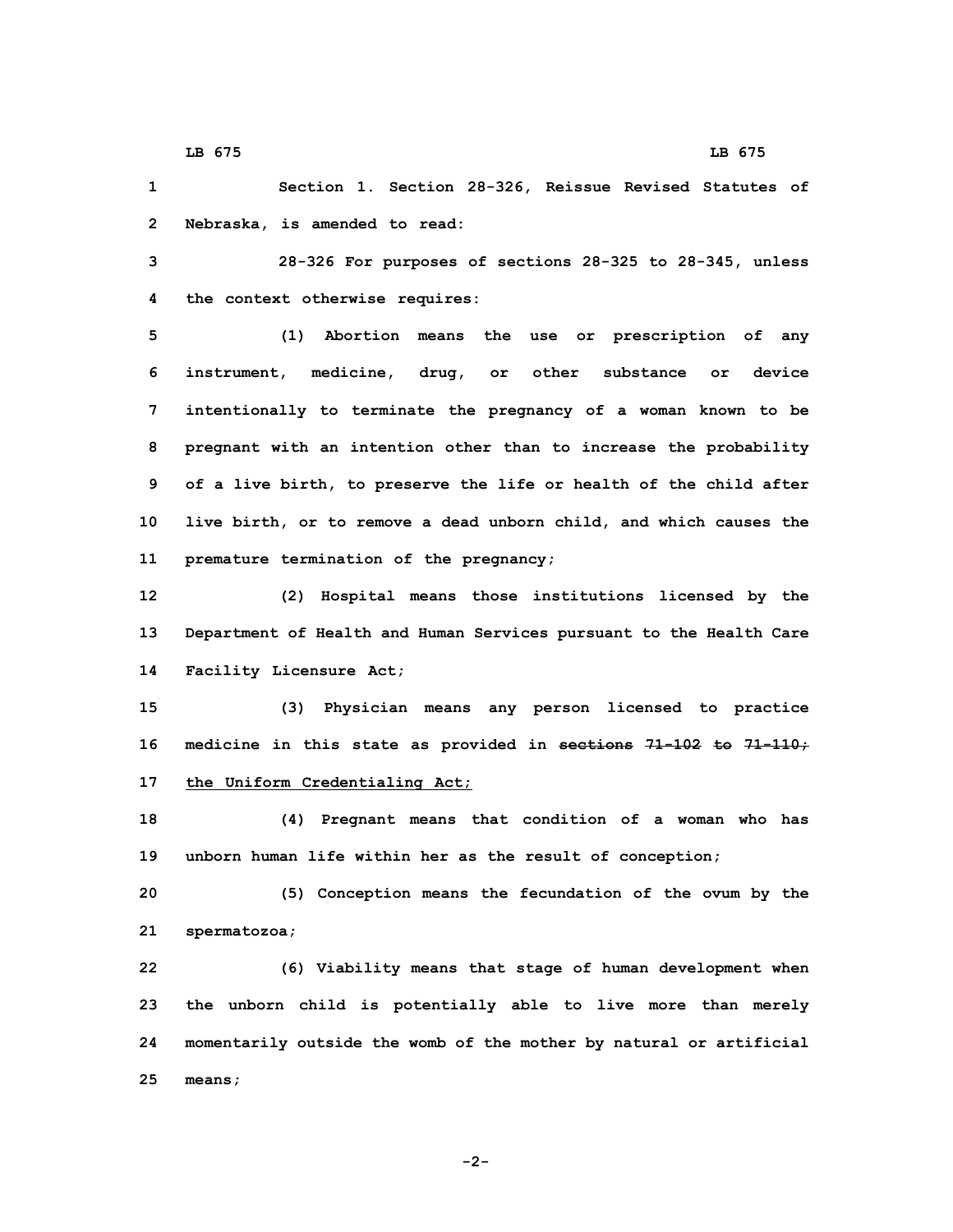**1 Section 1. Section 28-326, Reissue Revised Statutes of 2 Nebraska, is amended to read:**

**3 28-326 For purposes of sections 28-325 to 28-345, unless 4 the context otherwise requires:**

 **(1) Abortion means the use or prescription of any instrument, medicine, drug, or other substance or device intentionally to terminate the pregnancy of <sup>a</sup> woman known to be pregnant with an intention other than to increase the probability of <sup>a</sup> live birth, to preserve the life or health of the child after live birth, or to remove <sup>a</sup> dead unborn child, and which causes the premature termination of the pregnancy;**

**12 (2) Hospital means those institutions licensed by the 13 Department of Health and Human Services pursuant to the Health Care 14 Facility Licensure Act;**

**15 (3) Physician means any person licensed to practice 16 medicine in this state as provided in sections 71-102 to 71-110; 17 the Uniform Credentialing Act;**

**18 (4) Pregnant means that condition of <sup>a</sup> woman who has 19 unborn human life within her as the result of conception;**

**20 (5) Conception means the fecundation of the ovum by the 21 spermatozoa;**

 **(6) Viability means that stage of human development when the unborn child is potentially able to live more than merely momentarily outside the womb of the mother by natural or artificial 25 means;**

**-2-**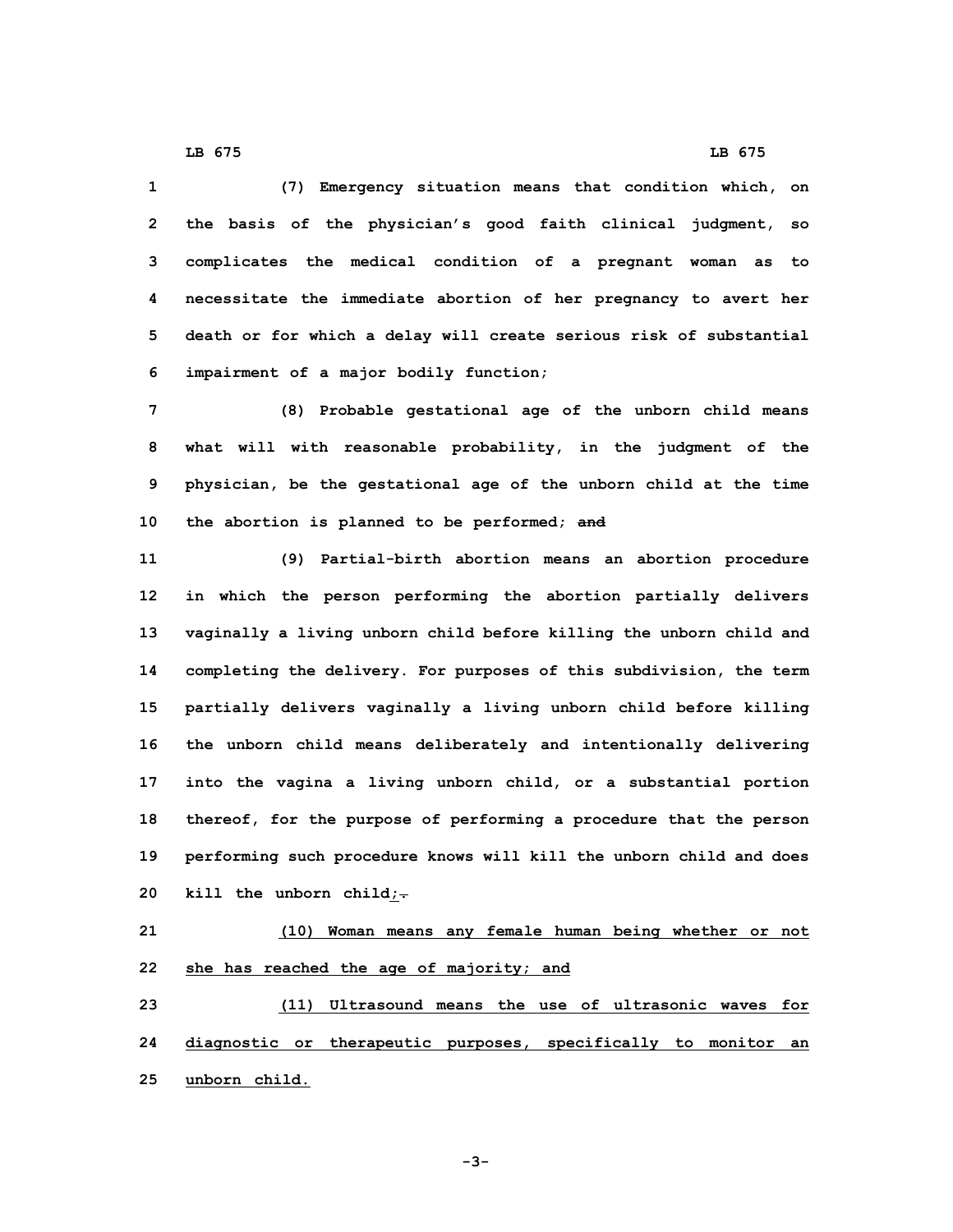**(7) Emergency situation means that condition which, on the basis of the physician's good faith clinical judgment, so complicates the medical condition of <sup>a</sup> pregnant woman as to necessitate the immediate abortion of her pregnancy to avert her death or for which <sup>a</sup> delay will create serious risk of substantial impairment of <sup>a</sup> major bodily function; (8) Probable gestational age of the unborn child means what will with reasonable probability, in the judgment of the physician, be the gestational age of the unborn child at the time the abortion is planned to be performed; and (9) Partial-birth abortion means an abortion procedure in which the person performing the abortion partially delivers vaginally <sup>a</sup> living unborn child before killing the unborn child and completing the delivery. For purposes of this subdivision, the term partially delivers vaginally <sup>a</sup> living unborn child before killing the unborn child means deliberately and intentionally delivering into the vagina <sup>a</sup> living unborn child, or <sup>a</sup> substantial portion thereof, for the purpose of performing <sup>a</sup> procedure that the person**

**19 performing such procedure knows will kill the unborn child and does 20 kill the unborn child;.**

**21 (10) Woman means any female human being whether or not 22 she has reached the age of majority; and**

**23 (11) Ultrasound means the use of ultrasonic waves for 24 diagnostic or therapeutic purposes, specifically to monitor an 25 unborn child.**

**LB 675 LB 675**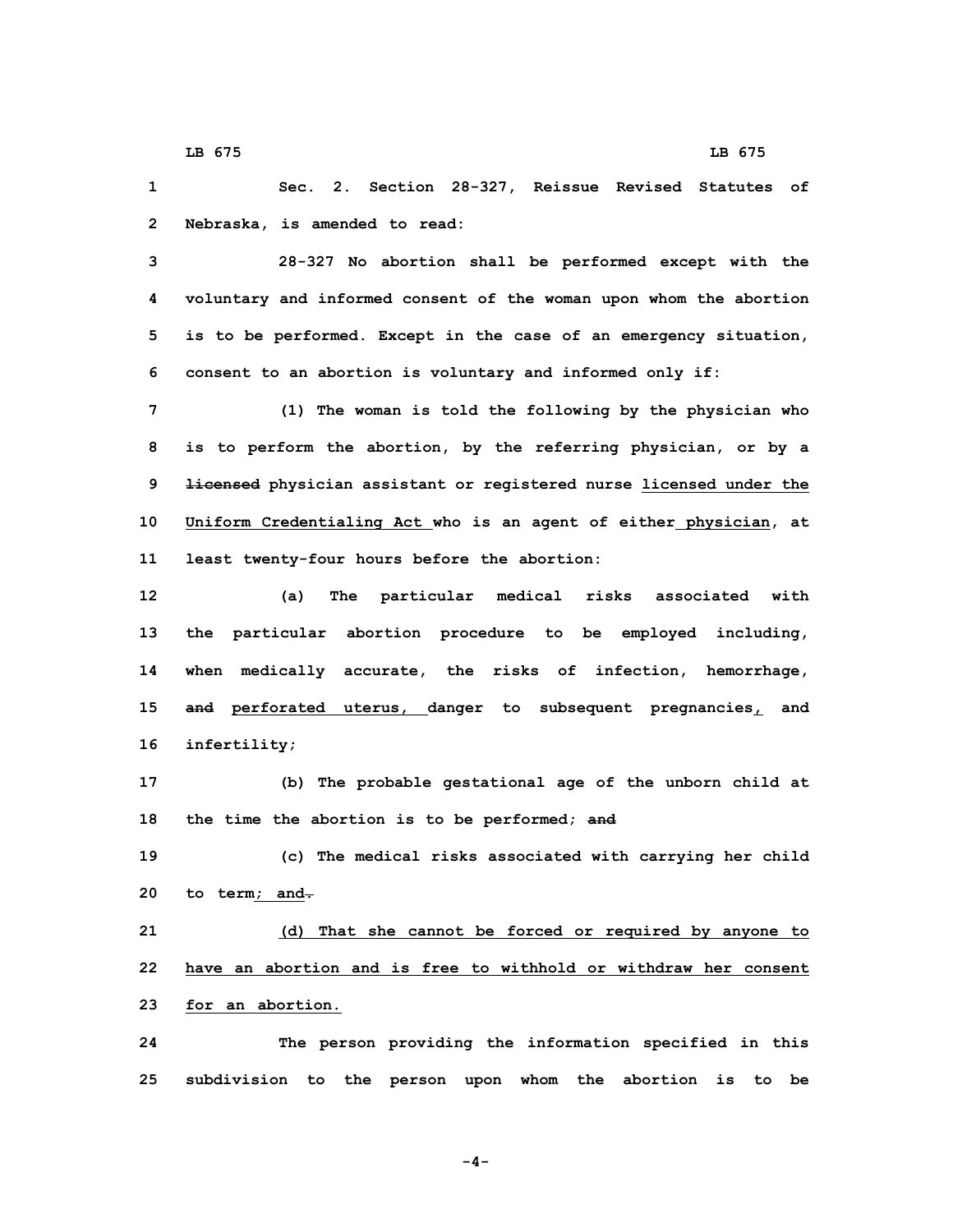**1 Sec. 2. Section 28-327, Reissue Revised Statutes of 2 Nebraska, is amended to read:**

 **28-327 No abortion shall be performed except with the voluntary and informed consent of the woman upon whom the abortion is to be performed. Except in the case of an emergency situation, consent to an abortion is voluntary and informed only if:**

 **(1) The woman is told the following by the physician who is to perform the abortion, by the referring physician, or by <sup>a</sup> licensed physician assistant or registered nurse licensed under the Uniform Credentialing Act who is an agent of either physician, at least twenty-four hours before the abortion:**

 **(a) The particular medical risks associated with the particular abortion procedure to be employed including, when medically accurate, the risks of infection, hemorrhage, and perforated uterus, danger to subsequent pregnancies, and infertility;**

**17 (b) The probable gestational age of the unborn child at 18 the time the abortion is to be performed; and**

**19 (c) The medical risks associated with carrying her child 20 to term; and.**

**21 (d) That she cannot be forced or required by anyone to 22 have an abortion and is free to withhold or withdraw her consent 23 for an abortion.**

**24 The person providing the information specified in this 25 subdivision to the person upon whom the abortion is to be**

**-4-**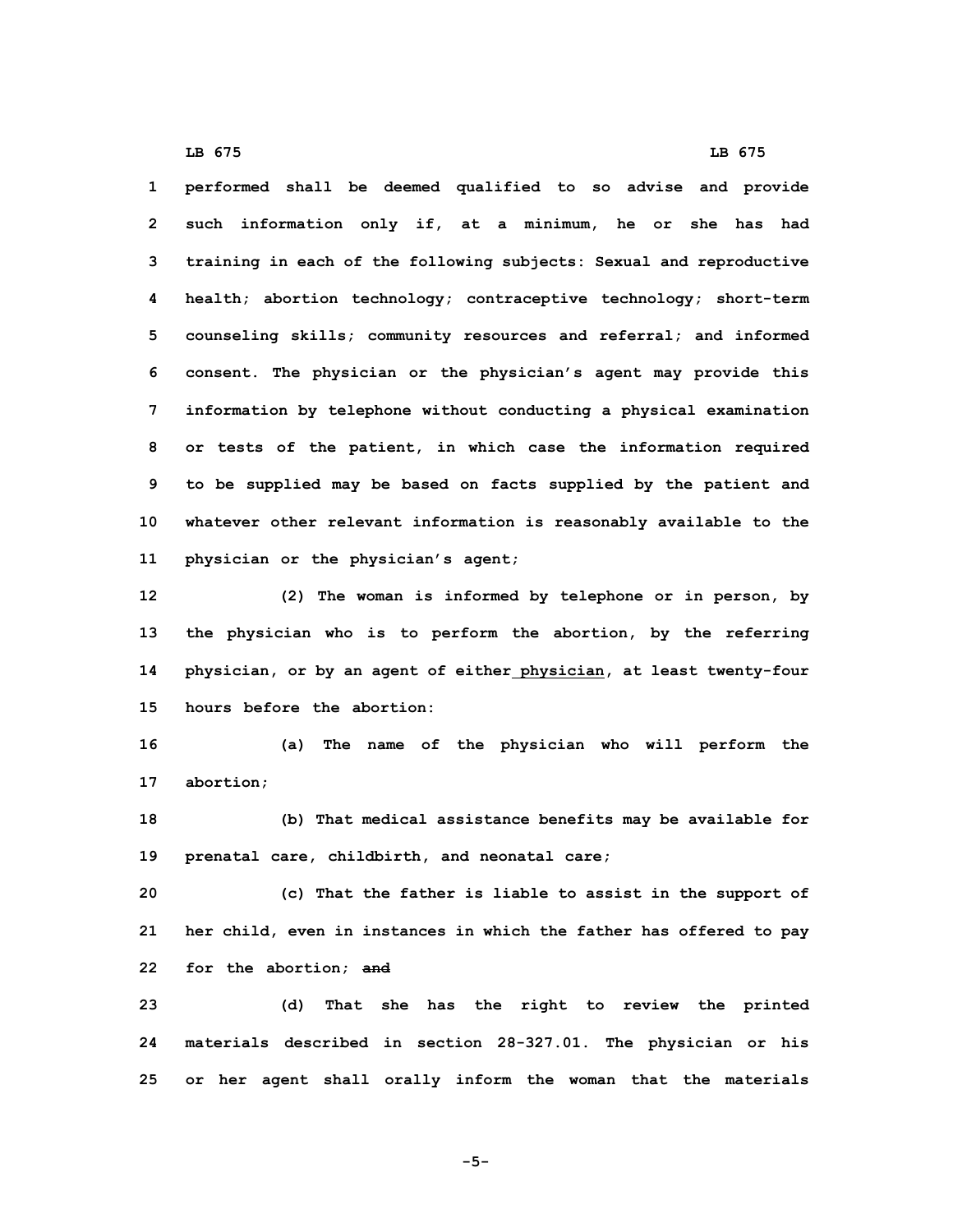**performed shall be deemed qualified to so advise and provide such information only if, at <sup>a</sup> minimum, he or she has had training in each of the following subjects: Sexual and reproductive health; abortion technology; contraceptive technology; short-term counseling skills; community resources and referral; and informed consent. The physician or the physician's agent may provide this information by telephone without conducting <sup>a</sup> physical examination or tests of the patient, in which case the information required to be supplied may be based on facts supplied by the patient and whatever other relevant information is reasonably available to the physician or the physician's agent;**

 **(2) The woman is informed by telephone or in person, by the physician who is to perform the abortion, by the referring physician, or by an agent of either physician, at least twenty-four hours before the abortion:**

**16 (a) The name of the physician who will perform the 17 abortion;**

**18 (b) That medical assistance benefits may be available for 19 prenatal care, childbirth, and neonatal care;**

**20 (c) That the father is liable to assist in the support of 21 her child, even in instances in which the father has offered to pay 22 for the abortion; and**

**23 (d) That she has the right to review the printed 24 materials described in section 28-327.01. The physician or his 25 or her agent shall orally inform the woman that the materials**

**LB 675 LB 675**

**-5-**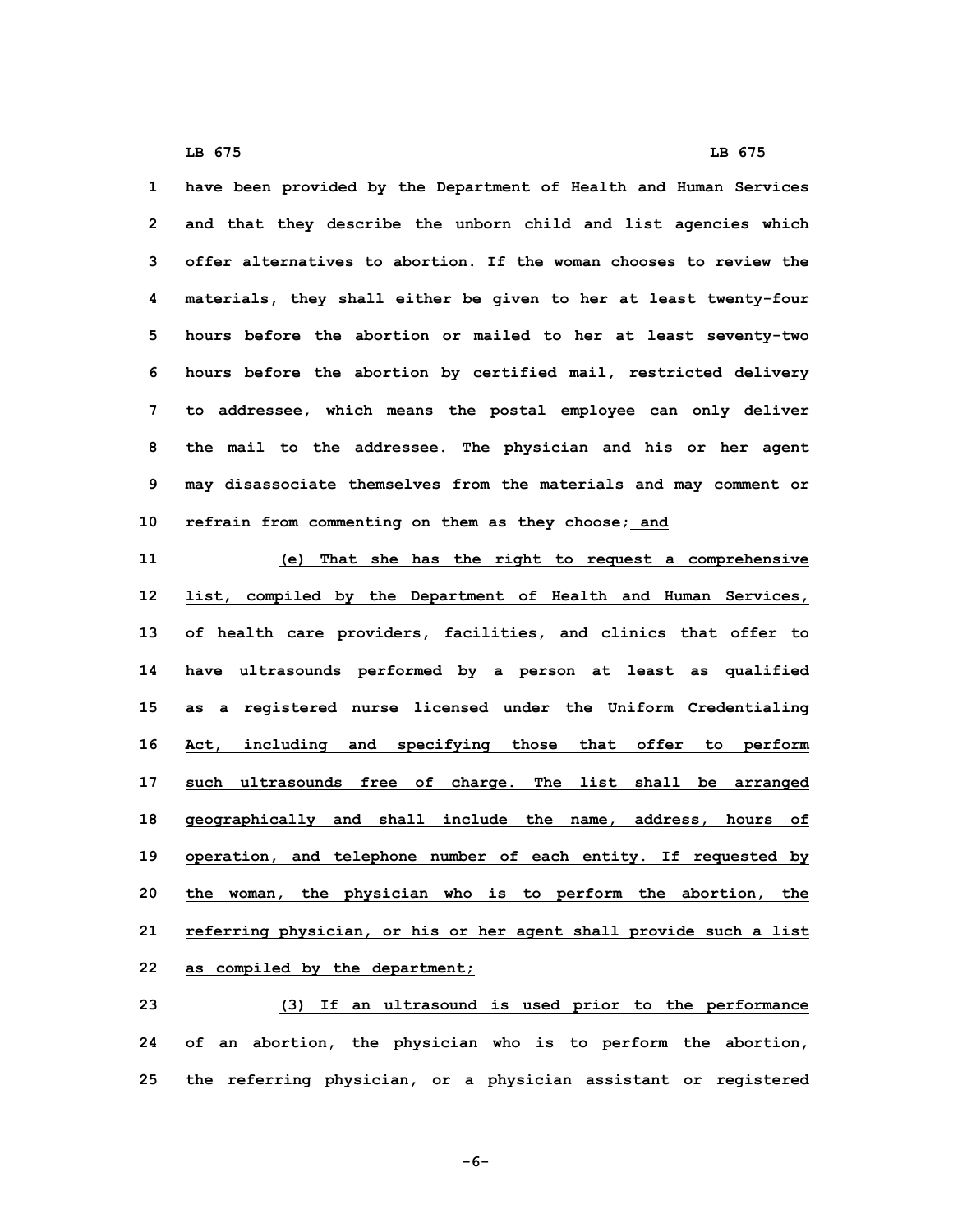**have been provided by the Department of Health and Human Services and that they describe the unborn child and list agencies which offer alternatives to abortion. If the woman chooses to review the materials, they shall either be given to her at least twenty-four hours before the abortion or mailed to her at least seventy-two hours before the abortion by certified mail, restricted delivery to addressee, which means the postal employee can only deliver the mail to the addressee. The physician and his or her agent may disassociate themselves from the materials and may comment or refrain from commenting on them as they choose; and**

 **(e) That she has the right to request <sup>a</sup> comprehensive list, compiled by the Department of Health and Human Services, of health care providers, facilities, and clinics that offer to have ultrasounds performed by <sup>a</sup> person at least as qualified as <sup>a</sup> registered nurse licensed under the Uniform Credentialing Act, including and specifying those that offer to perform such ultrasounds free of charge. The list shall be arranged geographically and shall include the name, address, hours of operation, and telephone number of each entity. If requested by the woman, the physician who is to perform the abortion, the referring physician, or his or her agent shall provide such <sup>a</sup> list as compiled by the department;**

**23 (3) If an ultrasound is used prior to the performance 24 of an abortion, the physician who is to perform the abortion, 25 the referring physician, or <sup>a</sup> physician assistant or registered**

**-6-**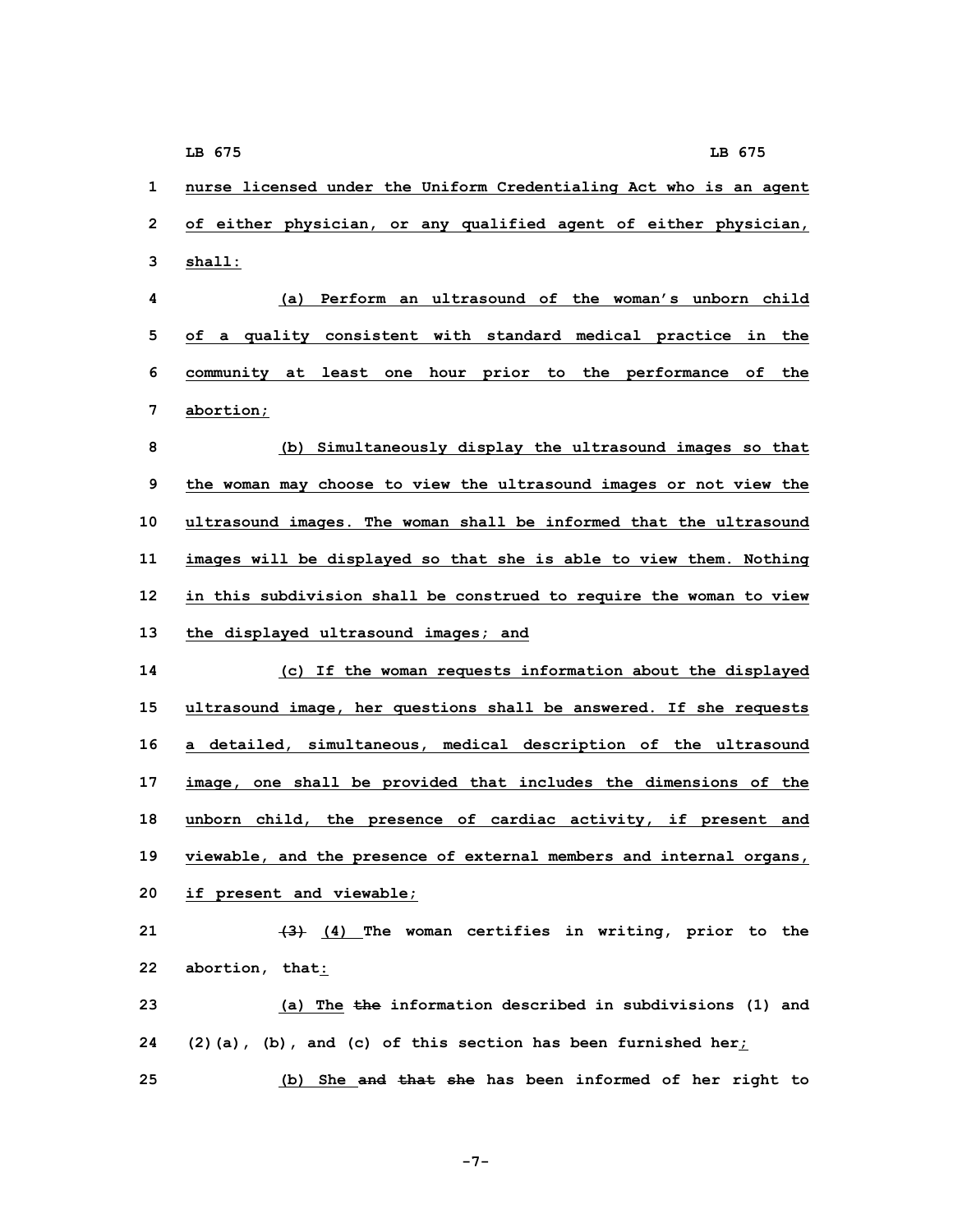**1 nurse licensed under the Uniform Credentialing Act who is an agent 2 of either physician, or any qualified agent of either physician, 3 shall:**

 **(a) Perform an ultrasound of the woman's unborn child of <sup>a</sup> quality consistent with standard medical practice in the community at least one hour prior to the performance of the abortion;**

 **(b) Simultaneously display the ultrasound images so that the woman may choose to view the ultrasound images or not view the ultrasound images. The woman shall be informed that the ultrasound images will be displayed so that she is able to view them. Nothing in this subdivision shall be construed to require the woman to view the displayed ultrasound images; and**

 **(c) If the woman requests information about the displayed ultrasound image, her questions shall be answered. If she requests <sup>a</sup> detailed, simultaneous, medical description of the ultrasound image, one shall be provided that includes the dimensions of the unborn child, the presence of cardiac activity, if present and viewable, and the presence of external members and internal organs, if present and viewable;**

 **(3) (4) The woman certifies in writing, prior to the abortion, that: (a) The the information described in subdivisions (1) and (2)(a), (b), and (c) of this section has been furnished her;**

**25 (b) She and that she has been informed of her right to**

**-7-**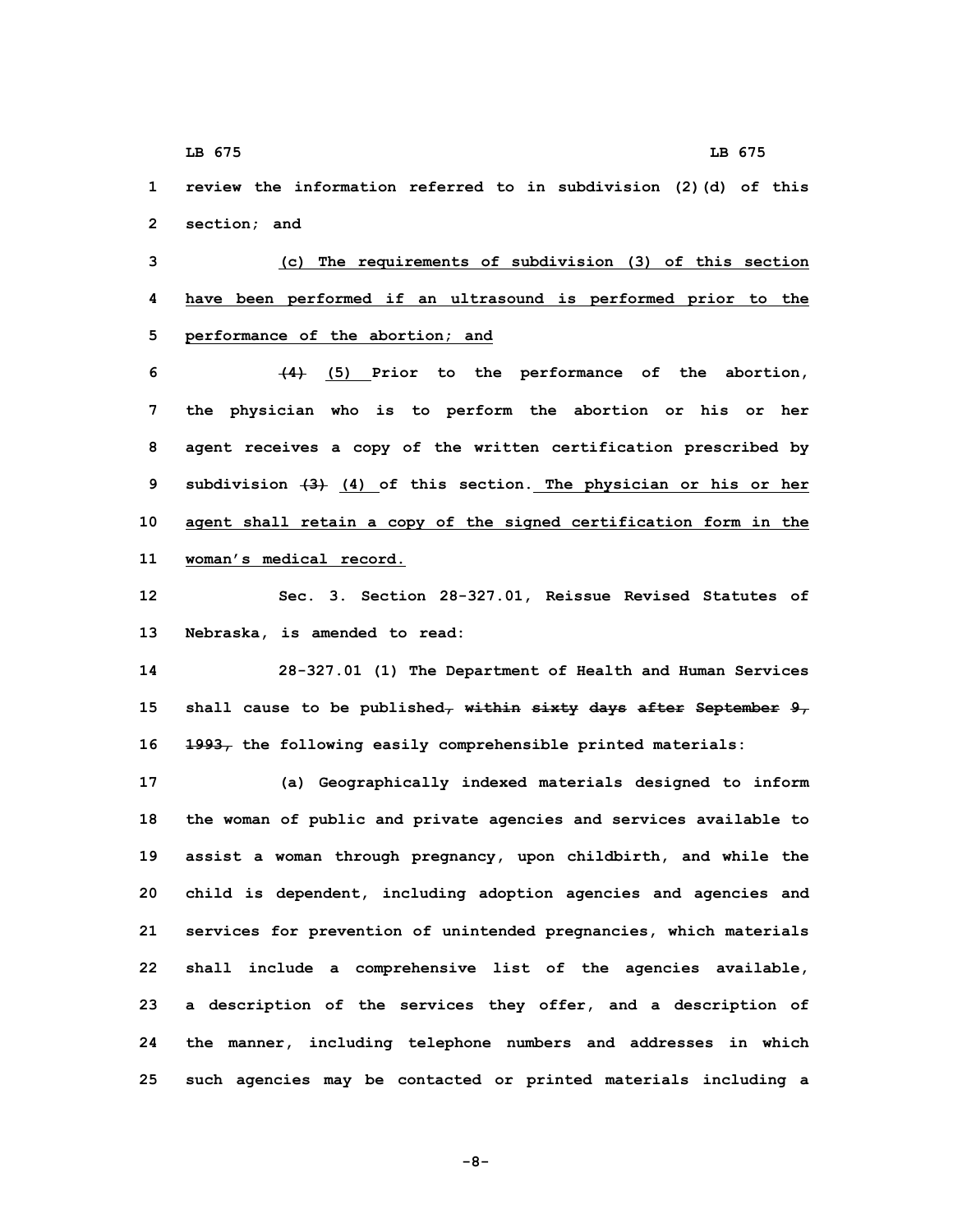**1 review the information referred to in subdivision (2)(d) of this 2 section; and**

**3 (c) The requirements of subdivision (3) of this section 4 have been performed if an ultrasound is performed prior to the 5 performance of the abortion; and**

 **(4) (5) Prior to the performance of the abortion, the physician who is to perform the abortion or his or her agent receives <sup>a</sup> copy of the written certification prescribed by subdivision (3) (4) of this section. The physician or his or her agent shall retain <sup>a</sup> copy of the signed certification form in the woman's medical record.**

**12 Sec. 3. Section 28-327.01, Reissue Revised Statutes of 13 Nebraska, is amended to read:**

**14 28-327.01 (1) The Department of Health and Human Services 15 shall cause to be published, within sixty days after September 9, 16 1993, the following easily comprehensible printed materials:**

 **(a) Geographically indexed materials designed to inform the woman of public and private agencies and services available to assist <sup>a</sup> woman through pregnancy, upon childbirth, and while the child is dependent, including adoption agencies and agencies and services for prevention of unintended pregnancies, which materials shall include <sup>a</sup> comprehensive list of the agencies available, <sup>a</sup> description of the services they offer, and <sup>a</sup> description of the manner, including telephone numbers and addresses in which such agencies may be contacted or printed materials including <sup>a</sup>**

**-8-**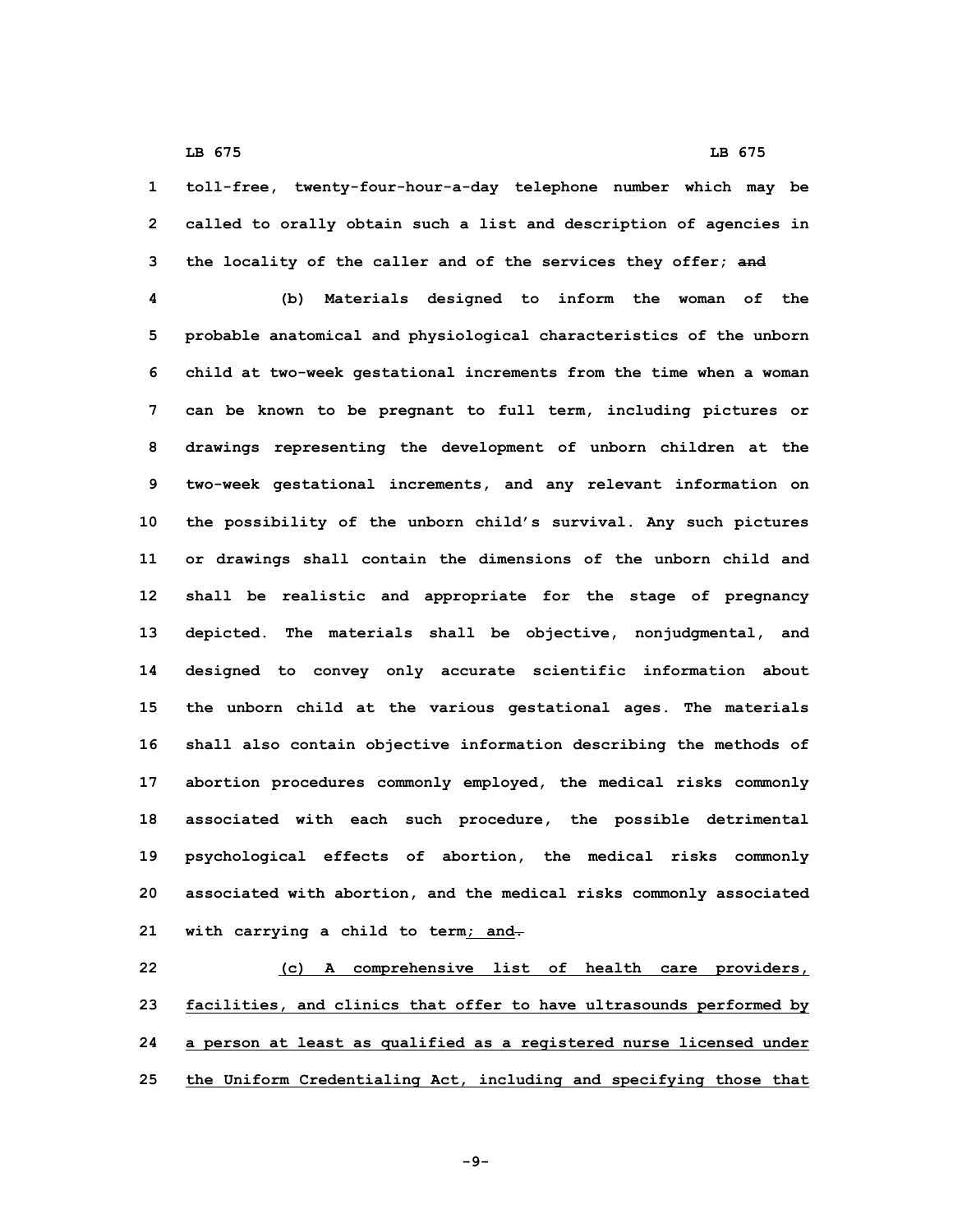**1 toll-free, twenty-four-hour-a-day telephone number which may be 2 called to orally obtain such <sup>a</sup> list and description of agencies in 3 the locality of the caller and of the services they offer; and**

 **(b) Materials designed to inform the woman of the probable anatomical and physiological characteristics of the unborn child at two-week gestational increments from the time when <sup>a</sup> woman can be known to be pregnant to full term, including pictures or drawings representing the development of unborn children at the two-week gestational increments, and any relevant information on the possibility of the unborn child's survival. Any such pictures or drawings shall contain the dimensions of the unborn child and shall be realistic and appropriate for the stage of pregnancy depicted. The materials shall be objective, nonjudgmental, and designed to convey only accurate scientific information about the unborn child at the various gestational ages. The materials shall also contain objective information describing the methods of abortion procedures commonly employed, the medical risks commonly associated with each such procedure, the possible detrimental psychological effects of abortion, the medical risks commonly associated with abortion, and the medical risks commonly associated with carrying <sup>a</sup> child to term; and.**

 **(c) <sup>A</sup> comprehensive list of health care providers, facilities, and clinics that offer to have ultrasounds performed by <sup>a</sup> person at least as qualified as <sup>a</sup> registered nurse licensed under the Uniform Credentialing Act, including and specifying those that**

**-9-**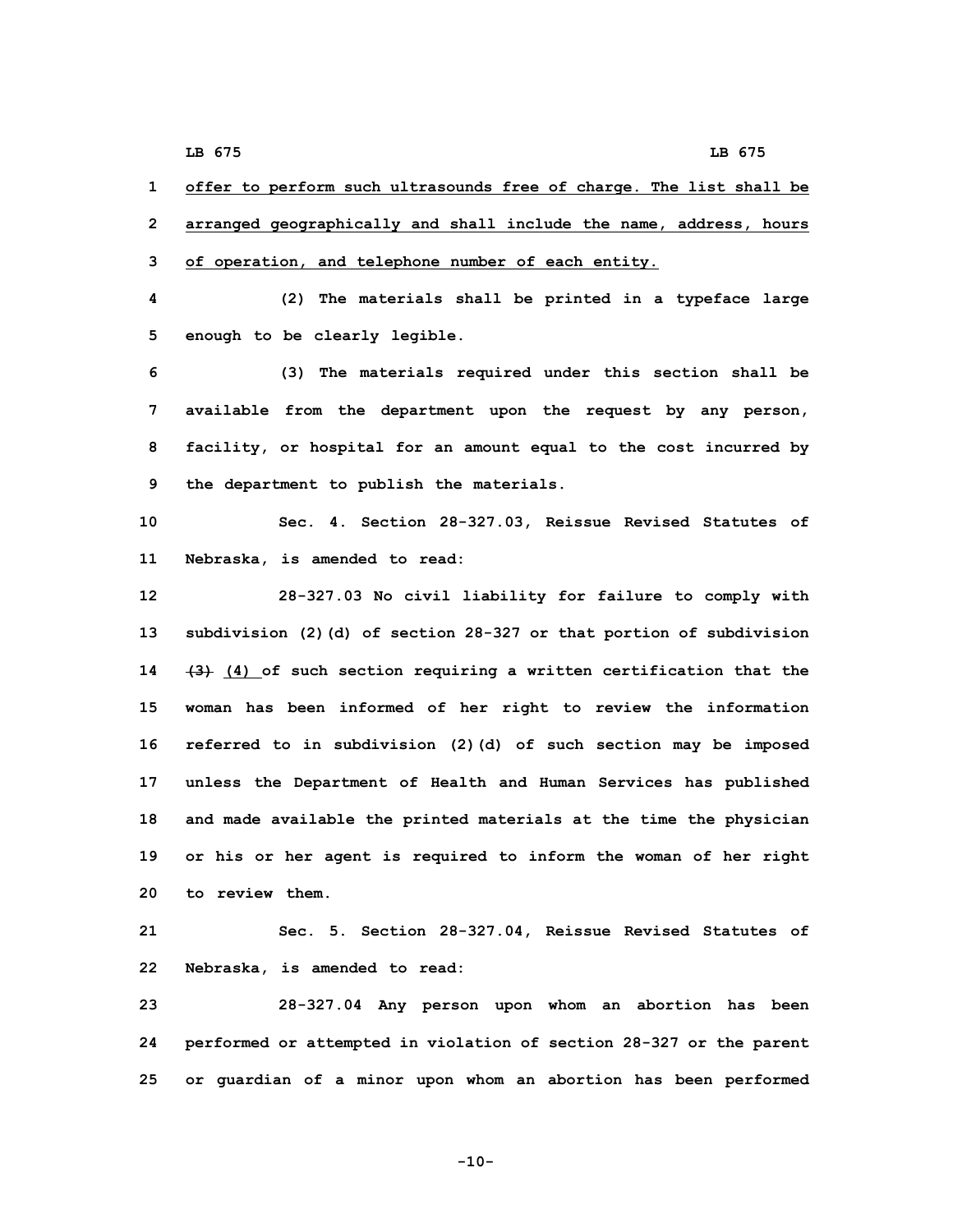**1 offer to perform such ultrasounds free of charge. The list shall be 2 arranged geographically and shall include the name, address, hours 3 of operation, and telephone number of each entity.**

**4 (2) The materials shall be printed in <sup>a</sup> typeface large 5 enough to be clearly legible.**

 **(3) The materials required under this section shall be available from the department upon the request by any person, facility, or hospital for an amount equal to the cost incurred by the department to publish the materials.**

**10 Sec. 4. Section 28-327.03, Reissue Revised Statutes of 11 Nebraska, is amended to read:**

 **28-327.03 No civil liability for failure to comply with subdivision (2)(d) of section 28-327 or that portion of subdivision (3) (4) of such section requiring <sup>a</sup> written certification that the woman has been informed of her right to review the information referred to in subdivision (2)(d) of such section may be imposed unless the Department of Health and Human Services has published and made available the printed materials at the time the physician or his or her agent is required to inform the woman of her right to review them.**

**21 Sec. 5. Section 28-327.04, Reissue Revised Statutes of 22 Nebraska, is amended to read:**

**23 28-327.04 Any person upon whom an abortion has been 24 performed or attempted in violation of section 28-327 or the parent 25 or guardian of <sup>a</sup> minor upon whom an abortion has been performed**

**-10-**